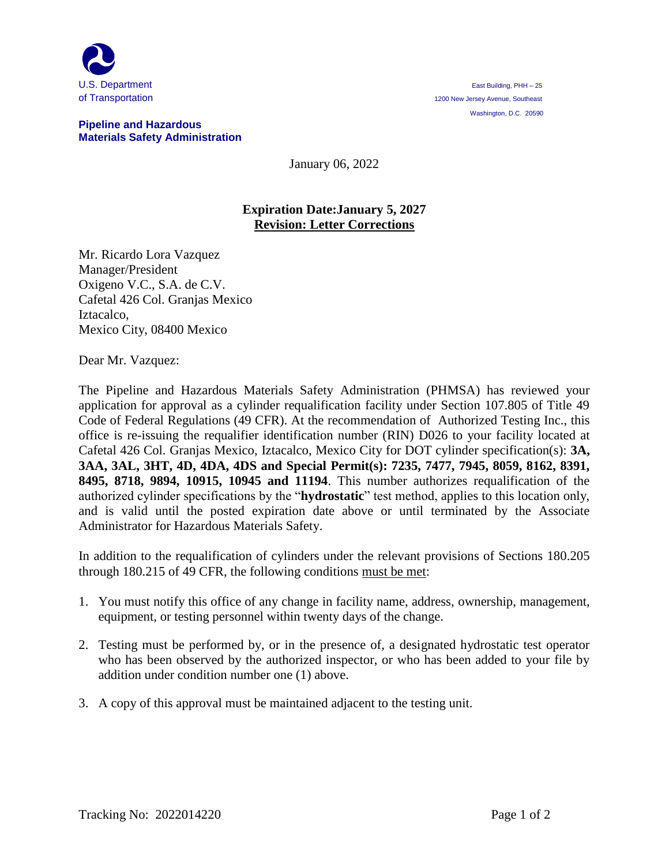

## **Pipeline and Hazardous Materials Safety Administration**

January 06, 2022

## **Expiration Date:January 5, 2027 Revision: Letter Corrections**

Mr. Ricardo Lora Vazquez Manager/President Oxigeno V.C., S.A. de C.V. Cafetal 426 Col. Granjas Mexico Iztacalco, Mexico City, 08400 Mexico

Dear Mr. Vazquez:

The Pipeline and Hazardous Materials Safety Administration (PHMSA) has reviewed your application for approval as a cylinder requalification facility under Section 107.805 of Title 49 Code of Federal Regulations (49 CFR). At the recommendation of Authorized Testing Inc., this office is re-issuing the requalifier identification number (RIN) D026 to your facility located at Cafetal 426 Col. Granjas Mexico, Iztacalco, Mexico City for DOT cylinder specification(s): **3A, 3AA, 3AL, 3HT, 4D, 4DA, 4DS and Special Permit(s): 7235, 7477, 7945, 8059, 8162, 8391, 8495, 8718, 9894, 10915, 10945 and 11194**. This number authorizes requalification of the authorized cylinder specifications by the "**hydrostatic**" test method, applies to this location only, and is valid until the posted expiration date above or until terminated by the Associate Administrator for Hazardous Materials Safety.

In addition to the requalification of cylinders under the relevant provisions of Sections 180.205 through 180.215 of 49 CFR, the following conditions must be met:

- 1. You must notify this office of any change in facility name, address, ownership, management, equipment, or testing personnel within twenty days of the change.
- 2. Testing must be performed by, or in the presence of, a designated hydrostatic test operator who has been observed by the authorized inspector, or who has been added to your file by addition under condition number one (1) above.
- 3. A copy of this approval must be maintained adjacent to the testing unit.